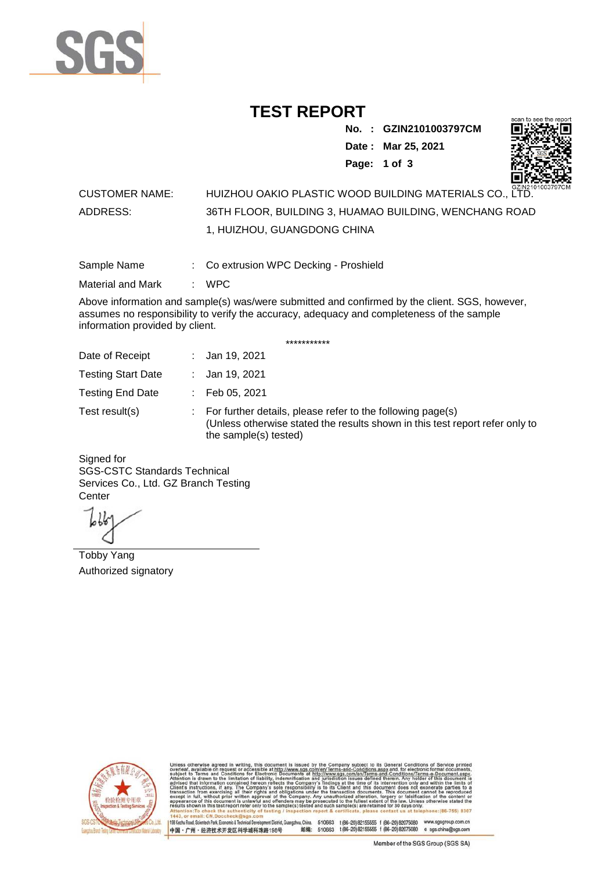

## **TEST REPORT**

**No. : GZIN2101003797CM**

**Date : Mar 25, 2021**

**Page: 1 of 3** 



### CUSTOMER NAME: HUIZHOU OAKIO PLASTIC WOOD BUILDING MATERIALS CO., LTD. ADDRESS: 36TH FLOOR, BUILDING 3, HUAMAO BUILDING, WENCHANG ROAD 1, HUIZHOU, GUANGDONG CHINA

Sample Name : Co extrusion WPC Decking - Proshield

Material and Mark : WPC

Above information and sample(s) was/were submitted and confirmed by the client. SGS, however, assumes no responsibility to verify the accuracy, adequacy and completeness of the sample information provided by client.

\*\*\*\*\*\*\*\*\*\*\*

| Date of Receipt           | : Jan 19, 2021                                                                                                                                                        |
|---------------------------|-----------------------------------------------------------------------------------------------------------------------------------------------------------------------|
| <b>Testing Start Date</b> | : Jan 19, 2021                                                                                                                                                        |
| <b>Testing End Date</b>   | $\therefore$ Feb 05, 2021                                                                                                                                             |
| Test result(s)            | : For further details, please refer to the following page(s)<br>(Unless otherwise stated the results shown in this test report refer only to<br>the sample(s) tested) |

Signed for SGS-CSTC Standards Technical Services Co., Ltd. GZ Branch Testing **Center** 

Tobby Yang Authorized signatory



510663 t(86-20) 82155555 f (86-20) 82075080 www.sgsgroup.com.cn<br>510663 t(86-20) 82155555 f (86-20) 82075080 e sgs.china@sgs.com 198 Kezhu Road, Scientech Park, Eco nomic & Technical Devel tou, China. ant District C 邮编: 中国·广州·经济技术开发区科学城科珠路198号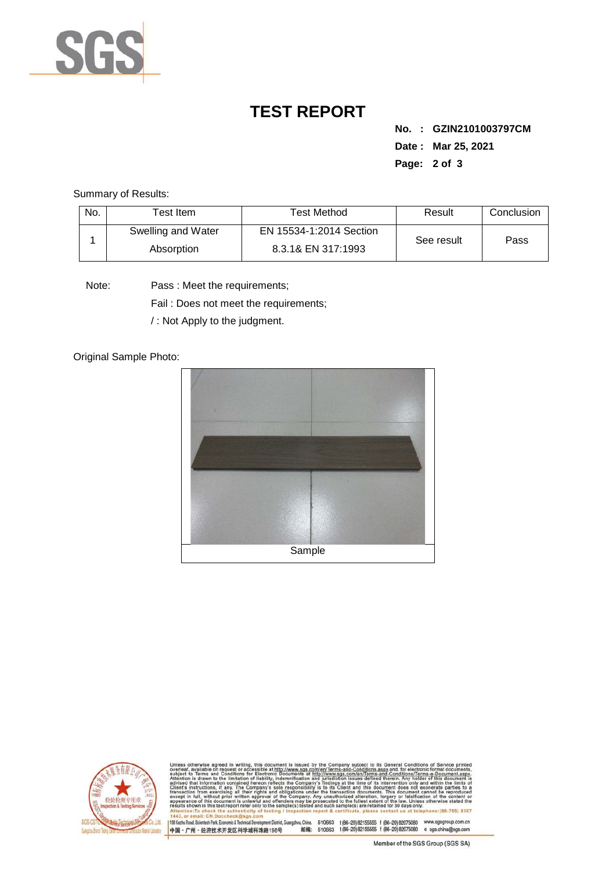

# **TEST REPORT**

**No. : GZIN2101003797CM Date : Mar 25, 2021 Page: 2 of 3** 

Summary of Results:

| No. | $\tau$ est Item $\,$             | Test Method                                   | Result     | Conclusion |
|-----|----------------------------------|-----------------------------------------------|------------|------------|
|     | Swelling and Water<br>Absorption | EN 15534-1:2014 Section<br>8.3.1& EN 317:1993 | See result | Pass       |

Note: Pass : Meet the requirements;

Fail : Does not meet the requirements;

/ : Not Apply to the judgment.

Original Sample Photo:





Conditions/Terms-e-Docu<br>srein. Any holder of this d 8307